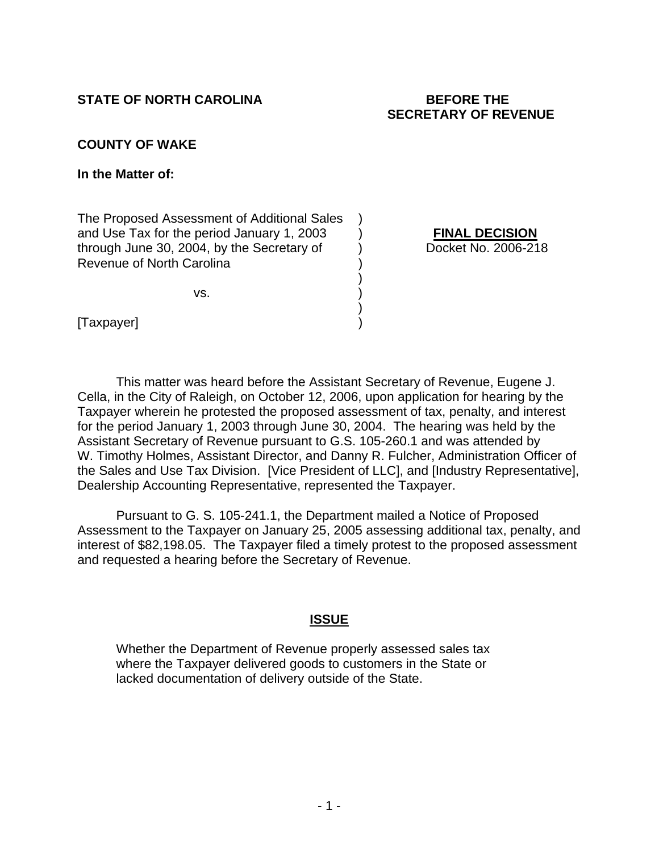### **STATE OF NORTH CAROLINA BEFORE THE**

# **SECRETARY OF REVENUE**

#### **COUNTY OF WAKE**

**In the Matter of:** 

The Proposed Assessment of Additional Sales ) and Use Tax for the period January 1, 2003 ) **FINAL DECISION** through June 30, 2004, by the Secretary of (b) Docket No. 2006-218 Revenue of North Carolina )

) and the contract of  $\mathcal{L}$ 

 $\mathsf{VS}.$ 

 $\left( \begin{array}{c} 1 \ 1 \ 1 \end{array} \right)$ [Taxpayer]

 This matter was heard before the Assistant Secretary of Revenue, Eugene J. Cella, in the City of Raleigh, on October 12, 2006, upon application for hearing by the Taxpayer wherein he protested the proposed assessment of tax, penalty, and interest for the period January 1, 2003 through June 30, 2004. The hearing was held by the Assistant Secretary of Revenue pursuant to G.S. 105-260.1 and was attended by W. Timothy Holmes, Assistant Director, and Danny R. Fulcher, Administration Officer of the Sales and Use Tax Division. [Vice President of LLC], and [Industry Representative], Dealership Accounting Representative, represented the Taxpayer.

 Pursuant to G. S. 105-241.1, the Department mailed a Notice of Proposed Assessment to the Taxpayer on January 25, 2005 assessing additional tax, penalty, and interest of \$82,198.05. The Taxpayer filed a timely protest to the proposed assessment and requested a hearing before the Secretary of Revenue.

#### **ISSUE**

Whether the Department of Revenue properly assessed sales tax where the Taxpayer delivered goods to customers in the State or lacked documentation of delivery outside of the State.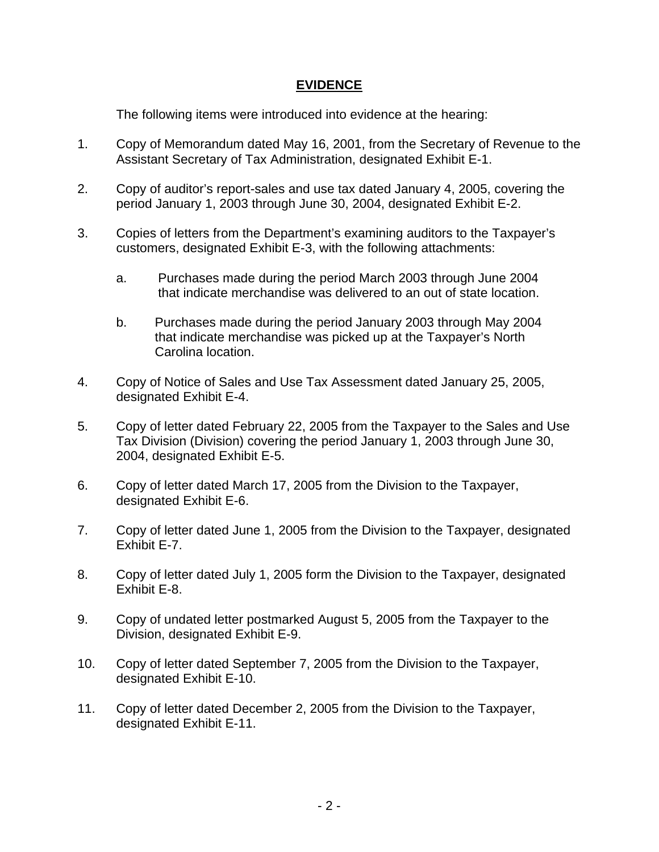#### **EVIDENCE**

The following items were introduced into evidence at the hearing:

- 1. Copy of Memorandum dated May 16, 2001, from the Secretary of Revenue to the Assistant Secretary of Tax Administration, designated Exhibit E-1.
- 2. Copy of auditor's report-sales and use tax dated January 4, 2005, covering the period January 1, 2003 through June 30, 2004, designated Exhibit E-2.
- 3. Copies of letters from the Department's examining auditors to the Taxpayer's customers, designated Exhibit E-3, with the following attachments:
	- a. Purchases made during the period March 2003 through June 2004 that indicate merchandise was delivered to an out of state location.
	- b. Purchases made during the period January 2003 through May 2004 that indicate merchandise was picked up at the Taxpayer's North Carolina location.
- 4. Copy of Notice of Sales and Use Tax Assessment dated January 25, 2005, designated Exhibit E-4.
- 5. Copy of letter dated February 22, 2005 from the Taxpayer to the Sales and Use Tax Division (Division) covering the period January 1, 2003 through June 30, 2004, designated Exhibit E-5.
- 6. Copy of letter dated March 17, 2005 from the Division to the Taxpayer, designated Exhibit E-6.
- 7. Copy of letter dated June 1, 2005 from the Division to the Taxpayer, designated Exhibit E-7.
- 8. Copy of letter dated July 1, 2005 form the Division to the Taxpayer, designated Exhibit E-8.
- 9. Copy of undated letter postmarked August 5, 2005 from the Taxpayer to the Division, designated Exhibit E-9.
- 10. Copy of letter dated September 7, 2005 from the Division to the Taxpayer, designated Exhibit E-10.
- 11. Copy of letter dated December 2, 2005 from the Division to the Taxpayer, designated Exhibit E-11.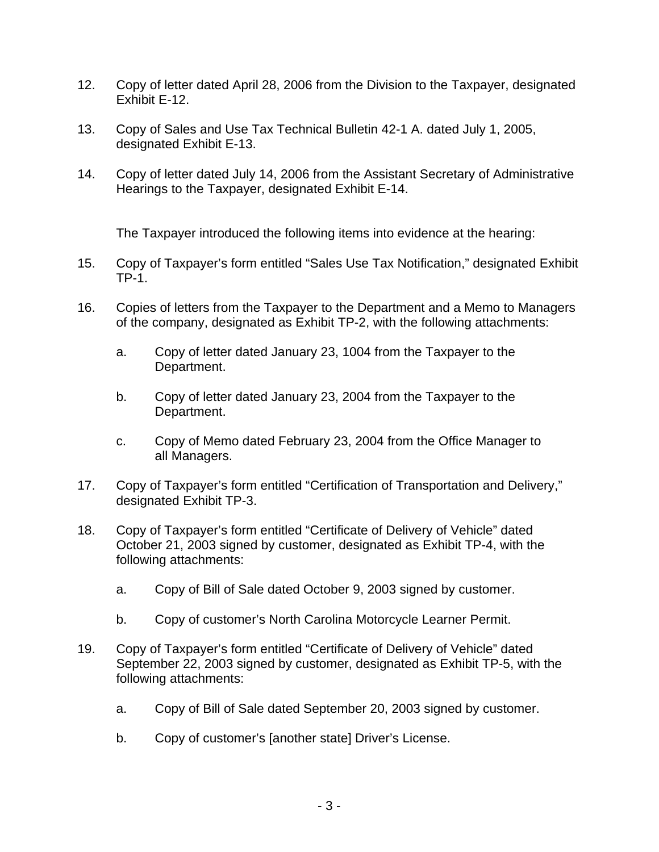- 12. Copy of letter dated April 28, 2006 from the Division to the Taxpayer, designated Exhibit E-12.
- 13. Copy of Sales and Use Tax Technical Bulletin 42-1 A. dated July 1, 2005, designated Exhibit E-13.
- 14. Copy of letter dated July 14, 2006 from the Assistant Secretary of Administrative Hearings to the Taxpayer, designated Exhibit E-14.

The Taxpayer introduced the following items into evidence at the hearing:

- 15. Copy of Taxpayer's form entitled "Sales Use Tax Notification," designated Exhibit TP-1.
- 16. Copies of letters from the Taxpayer to the Department and a Memo to Managers of the company, designated as Exhibit TP-2, with the following attachments:
	- a. Copy of letter dated January 23, 1004 from the Taxpayer to the Department.
	- b. Copy of letter dated January 23, 2004 from the Taxpayer to the Department.
	- c. Copy of Memo dated February 23, 2004 from the Office Manager to all Managers.
- 17. Copy of Taxpayer's form entitled "Certification of Transportation and Delivery," designated Exhibit TP-3.
- 18. Copy of Taxpayer's form entitled "Certificate of Delivery of Vehicle" dated October 21, 2003 signed by customer, designated as Exhibit TP-4, with the following attachments:
	- a. Copy of Bill of Sale dated October 9, 2003 signed by customer.
	- b. Copy of customer's North Carolina Motorcycle Learner Permit.
- 19. Copy of Taxpayer's form entitled "Certificate of Delivery of Vehicle" dated September 22, 2003 signed by customer, designated as Exhibit TP-5, with the following attachments:
	- a. Copy of Bill of Sale dated September 20, 2003 signed by customer.
	- b. Copy of customer's [another state] Driver's License.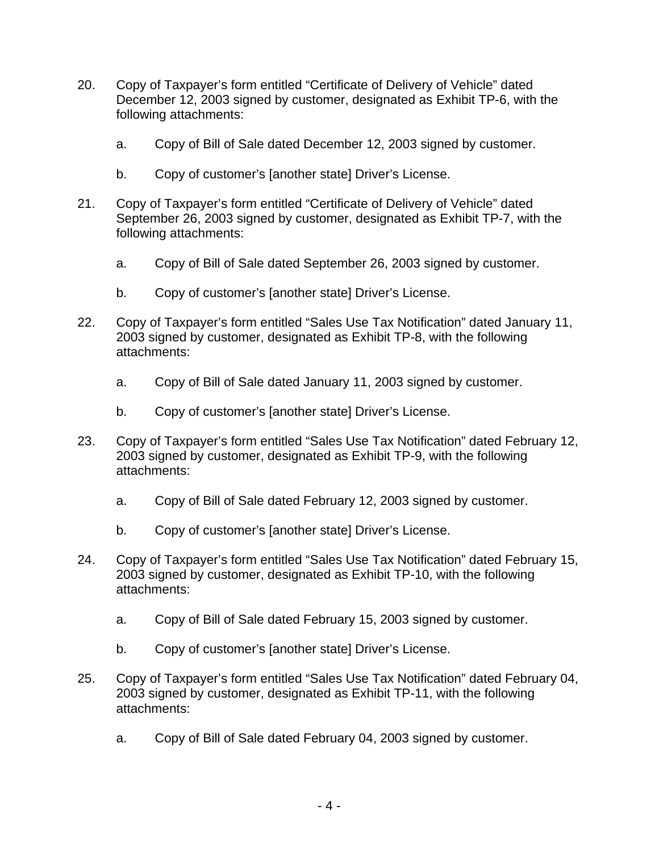- 20. Copy of Taxpayer's form entitled "Certificate of Delivery of Vehicle" dated December 12, 2003 signed by customer, designated as Exhibit TP-6, with the following attachments:
	- a. Copy of Bill of Sale dated December 12, 2003 signed by customer.
	- b. Copy of customer's [another state] Driver's License.
- 21. Copy of Taxpayer's form entitled "Certificate of Delivery of Vehicle" dated September 26, 2003 signed by customer, designated as Exhibit TP-7, with the following attachments:
	- a. Copy of Bill of Sale dated September 26, 2003 signed by customer.
	- b. Copy of customer's [another state] Driver's License.
- 22. Copy of Taxpayer's form entitled "Sales Use Tax Notification" dated January 11, 2003 signed by customer, designated as Exhibit TP-8, with the following attachments:
	- a. Copy of Bill of Sale dated January 11, 2003 signed by customer.
	- b. Copy of customer's [another state] Driver's License.
- 23. Copy of Taxpayer's form entitled "Sales Use Tax Notification" dated February 12, 2003 signed by customer, designated as Exhibit TP-9, with the following attachments:
	- a. Copy of Bill of Sale dated February 12, 2003 signed by customer.
	- b. Copy of customer's [another state] Driver's License.
- 24. Copy of Taxpayer's form entitled "Sales Use Tax Notification" dated February 15, 2003 signed by customer, designated as Exhibit TP-10, with the following attachments:
	- a. Copy of Bill of Sale dated February 15, 2003 signed by customer.
	- b. Copy of customer's [another state] Driver's License.
- 25. Copy of Taxpayer's form entitled "Sales Use Tax Notification" dated February 04, 2003 signed by customer, designated as Exhibit TP-11, with the following attachments:
	- a. Copy of Bill of Sale dated February 04, 2003 signed by customer.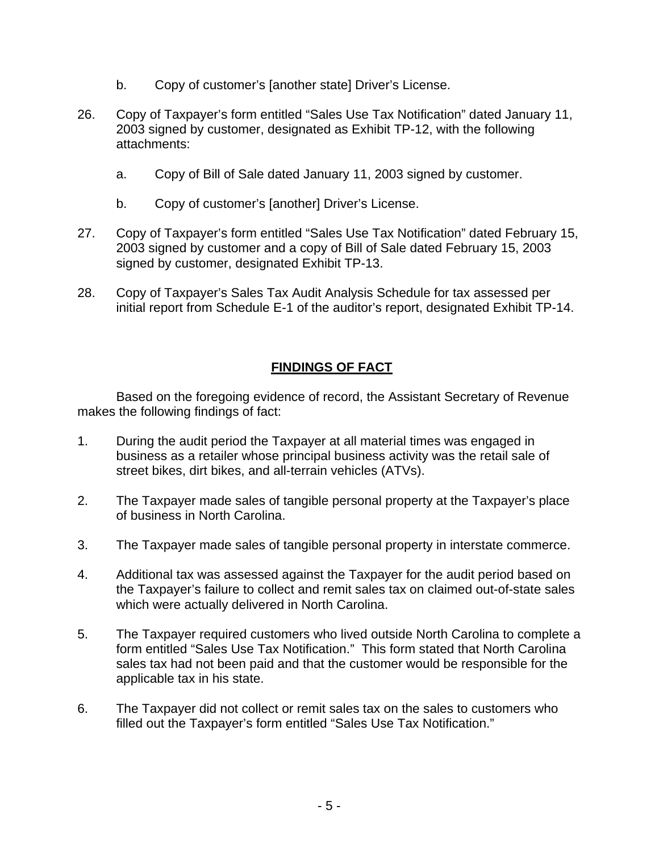- b. Copy of customer's [another state] Driver's License.
- 26. Copy of Taxpayer's form entitled "Sales Use Tax Notification" dated January 11, 2003 signed by customer, designated as Exhibit TP-12, with the following attachments:
	- a. Copy of Bill of Sale dated January 11, 2003 signed by customer.
	- b. Copy of customer's [another] Driver's License.
- 27. Copy of Taxpayer's form entitled "Sales Use Tax Notification" dated February 15, 2003 signed by customer and a copy of Bill of Sale dated February 15, 2003 signed by customer, designated Exhibit TP-13.
- 28. Copy of Taxpayer's Sales Tax Audit Analysis Schedule for tax assessed per initial report from Schedule E-1 of the auditor's report, designated Exhibit TP-14.

# **FINDINGS OF FACT**

Based on the foregoing evidence of record, the Assistant Secretary of Revenue makes the following findings of fact:

- 1. During the audit period the Taxpayer at all material times was engaged in business as a retailer whose principal business activity was the retail sale of street bikes, dirt bikes, and all-terrain vehicles (ATVs).
- 2. The Taxpayer made sales of tangible personal property at the Taxpayer's place of business in North Carolina.
- 3. The Taxpayer made sales of tangible personal property in interstate commerce.
- 4. Additional tax was assessed against the Taxpayer for the audit period based on the Taxpayer's failure to collect and remit sales tax on claimed out-of-state sales which were actually delivered in North Carolina.
- 5. The Taxpayer required customers who lived outside North Carolina to complete a form entitled "Sales Use Tax Notification." This form stated that North Carolina sales tax had not been paid and that the customer would be responsible for the applicable tax in his state.
- 6. The Taxpayer did not collect or remit sales tax on the sales to customers who filled out the Taxpayer's form entitled "Sales Use Tax Notification."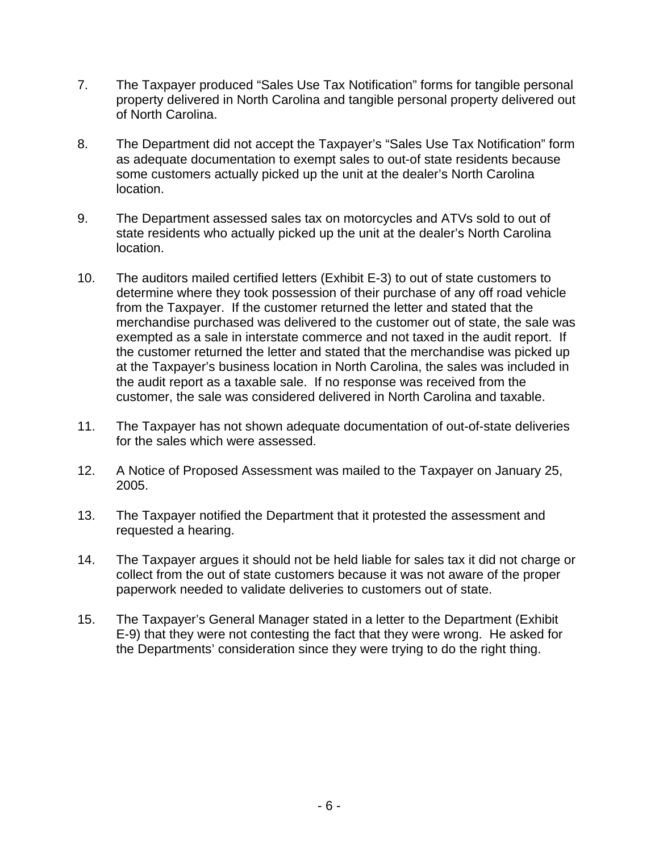- 7. The Taxpayer produced "Sales Use Tax Notification" forms for tangible personal property delivered in North Carolina and tangible personal property delivered out of North Carolina.
- 8. The Department did not accept the Taxpayer's "Sales Use Tax Notification" form as adequate documentation to exempt sales to out-of state residents because some customers actually picked up the unit at the dealer's North Carolina location.
- 9. The Department assessed sales tax on motorcycles and ATVs sold to out of state residents who actually picked up the unit at the dealer's North Carolina location.
- 10. The auditors mailed certified letters (Exhibit E-3) to out of state customers to determine where they took possession of their purchase of any off road vehicle from the Taxpayer. If the customer returned the letter and stated that the merchandise purchased was delivered to the customer out of state, the sale was exempted as a sale in interstate commerce and not taxed in the audit report. If the customer returned the letter and stated that the merchandise was picked up at the Taxpayer's business location in North Carolina, the sales was included in the audit report as a taxable sale. If no response was received from the customer, the sale was considered delivered in North Carolina and taxable.
- 11. The Taxpayer has not shown adequate documentation of out-of-state deliveries for the sales which were assessed.
- 12. A Notice of Proposed Assessment was mailed to the Taxpayer on January 25, 2005.
- 13. The Taxpayer notified the Department that it protested the assessment and requested a hearing.
- 14. The Taxpayer argues it should not be held liable for sales tax it did not charge or collect from the out of state customers because it was not aware of the proper paperwork needed to validate deliveries to customers out of state.
- 15. The Taxpayer's General Manager stated in a letter to the Department (Exhibit E-9) that they were not contesting the fact that they were wrong. He asked for the Departments' consideration since they were trying to do the right thing.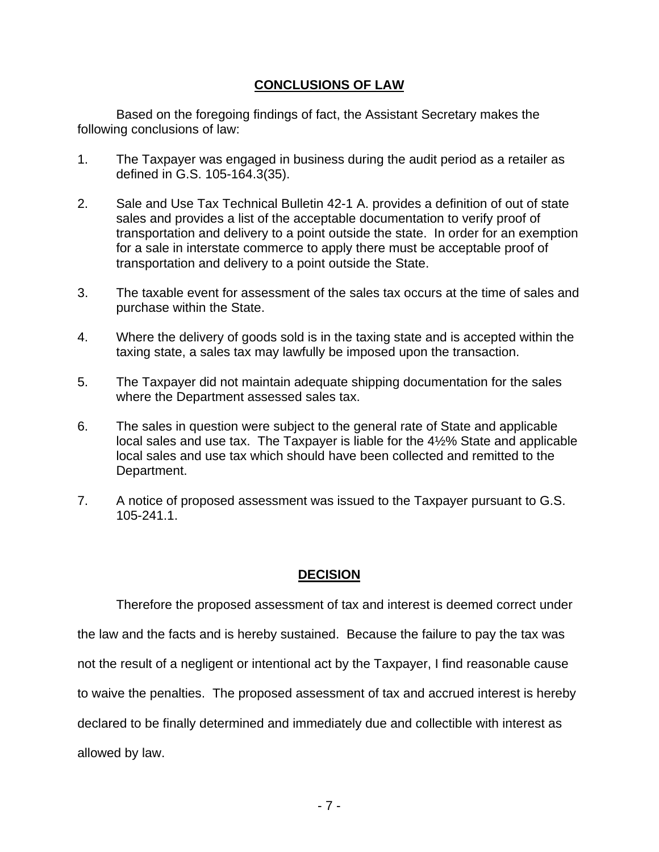### **CONCLUSIONS OF LAW**

 Based on the foregoing findings of fact, the Assistant Secretary makes the following conclusions of law:

- 1. The Taxpayer was engaged in business during the audit period as a retailer as defined in G.S. 105-164.3(35).
- 2. Sale and Use Tax Technical Bulletin 42-1 A. provides a definition of out of state sales and provides a list of the acceptable documentation to verify proof of transportation and delivery to a point outside the state. In order for an exemption for a sale in interstate commerce to apply there must be acceptable proof of transportation and delivery to a point outside the State.
- 3. The taxable event for assessment of the sales tax occurs at the time of sales and purchase within the State.
- 4. Where the delivery of goods sold is in the taxing state and is accepted within the taxing state, a sales tax may lawfully be imposed upon the transaction.
- 5. The Taxpayer did not maintain adequate shipping documentation for the sales where the Department assessed sales tax.
- 6. The sales in question were subject to the general rate of State and applicable local sales and use tax. The Taxpayer is liable for the 4½% State and applicable local sales and use tax which should have been collected and remitted to the Department.
- 7. A notice of proposed assessment was issued to the Taxpayer pursuant to G.S. 105-241.1.

## **DECISION**

 Therefore the proposed assessment of tax and interest is deemed correct under the law and the facts and is hereby sustained. Because the failure to pay the tax was not the result of a negligent or intentional act by the Taxpayer, I find reasonable cause to waive the penalties. The proposed assessment of tax and accrued interest is hereby declared to be finally determined and immediately due and collectible with interest as allowed by law.